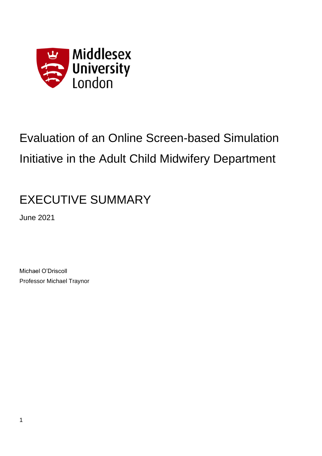

# Evaluation of an Online Screen-based Simulation Initiative in the Adult Child Midwifery Department

## EXECUTIVE SUMMARY

June 2021

Michael O'Driscoll Professor Michael Traynor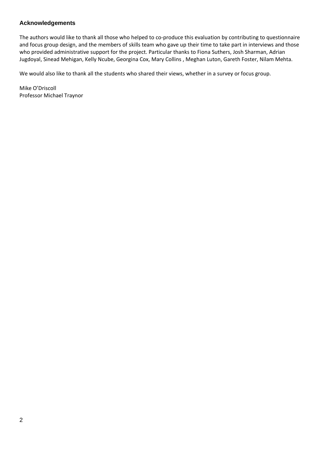#### **Acknowledgements**

The authors would like to thank all those who helped to co-produce this evaluation by contributing to questionnaire and focus group design, and the members of skills team who gave up their time to take part in interviews and those who provided administrative support for the project. Particular thanks to Fiona Suthers, Josh Sharman, Adrian Jugdoyal, Sinead Mehigan, Kelly Ncube, Georgina Cox, Mary Collins , Meghan Luton, Gareth Foster, Nilam Mehta.

We would also like to thank all the students who shared their views, whether in a survey or focus group.

Mike O'Driscoll Professor Michael Traynor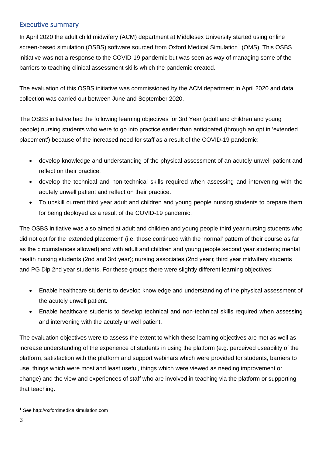#### Executive summary

In April 2020 the adult child midwifery (ACM) department at Middlesex University started using online screen-based simulation (OSBS) software sourced from Oxford Medical Simulation<sup>1</sup> (OMS). This OSBS initiative was not a response to the COVID-19 pandemic but was seen as way of managing some of the barriers to teaching clinical assessment skills which the pandemic created.

The evaluation of this OSBS initiative was commissioned by the ACM department in April 2020 and data collection was carried out between June and September 2020.

The OSBS initiative had the following learning objectives for 3rd Year (adult and children and young people) nursing students who were to go into practice earlier than anticipated (through an opt in 'extended placement') because of the increased need for staff as a result of the COVID-19 pandemic:

- develop knowledge and understanding of the physical assessment of an acutely unwell patient and reflect on their practice.
- develop the technical and non-technical skills required when assessing and intervening with the acutely unwell patient and reflect on their practice.
- To upskill current third year adult and children and young people nursing students to prepare them for being deployed as a result of the COVID-19 pandemic.

The OSBS initiative was also aimed at adult and children and young people third year nursing students who did not opt for the 'extended placement' (i.e. those continued with the 'normal' pattern of their course as far as the circumstances allowed) and with adult and children and young people second year students; mental health nursing students (2nd and 3rd year); nursing associates (2nd year); third year midwifery students and PG Dip 2nd year students. For these groups there were slightly different learning objectives:

- Enable healthcare students to develop knowledge and understanding of the physical assessment of the acutely unwell patient.
- Enable healthcare students to develop technical and non-technical skills required when assessing and intervening with the acutely unwell patient.

The evaluation objectives were to assess the extent to which these learning objectives are met as well as increase understanding of the experience of students in using the platform (e.g. perceived useability of the platform, satisfaction with the platform and support webinars which were provided for students, barriers to use, things which were most and least useful, things which were viewed as needing improvement or change) and the view and experiences of staff who are involved in teaching via the platform or supporting that teaching.

<sup>1</sup> See http://oxfordmedicalsimulation.com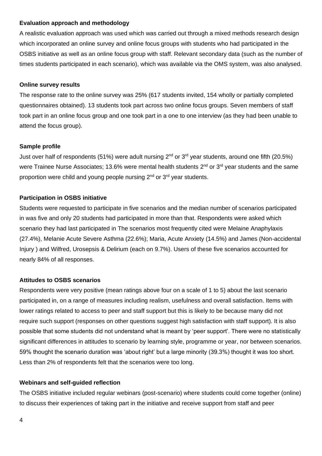#### **Evaluation approach and methodology**

A realistic evaluation approach was used which was carried out through a mixed methods research design which incorporated an online survey and online focus groups with students who had participated in the OSBS initiative as well as an online focus group with staff. Relevant secondary data (such as the number of times students participated in each scenario), which was available via the OMS system, was also analysed.

#### **Online survey results**

The response rate to the online survey was 25% (617 students invited, 154 wholly or partially completed questionnaires obtained). 13 students took part across two online focus groups. Seven members of staff took part in an online focus group and one took part in a one to one interview (as they had been unable to attend the focus group).

#### **Sample profile**

Just over half of respondents (51%) were adult nursing 2<sup>nd</sup> or 3<sup>rd</sup> year students, around one fifth (20.5%) were Trainee Nurse Associates; 13.6% were mental health students 2<sup>nd</sup> or 3<sup>rd</sup> year students and the same proportion were child and young people nursing 2<sup>nd</sup> or 3<sup>rd</sup> year students.

#### **Participation in OSBS initiative**

Students were requested to participate in five scenarios and the median number of scenarios participated in was five and only 20 students had participated in more than that. Respondents were asked which scenario they had last participated in The scenarios most frequently cited were Melaine Anaphylaxis (27.4%), Melanie Acute Severe Asthma (22.6%); Maria, Acute Anxiety (14.5%) and James (Non-accidental Injury ) and Wilfred, Urosepsis & Delirium (each on 9.7%). Users of these five scenarios accounted for nearly 84% of all responses.

#### **Attitudes to OSBS scenarios**

Respondents were very positive (mean ratings above four on a scale of 1 to 5) about the last scenario participated in, on a range of measures including realism, usefulness and overall satisfaction. Items with lower ratings related to access to peer and staff support but this is likely to be because many did not require such support (responses on other questions suggest high satisfaction with staff support). It is also possible that some students did not understand what is meant by 'peer support'. There were no statistically significant differences in attitudes to scenario by learning style, programme or year, nor between scenarios. 59% thought the scenario duration was 'about right' but a large minority (39.3%) thought it was too short. Less than 2% of respondents felt that the scenarios were too long.

#### **Webinars and self-guided reflection**

The OSBS initiative included regular webinars (post-scenario) where students could come together (online) to discuss their experiences of taking part in the initiative and receive support from staff and peer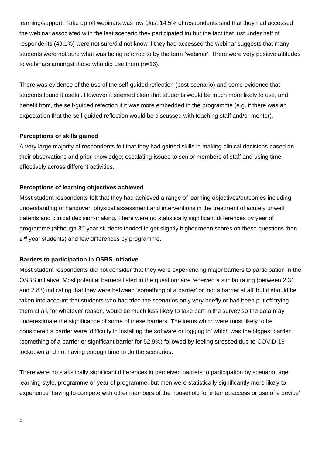learning/support. Take up off webinars was low (Just 14.5% of respondents said that they had accessed the webinar associated with the last scenario they participated in) but the fact that just under half of respondents (49.1%) were not sure/did not know if they had accessed the webinar suggests that many students were not sure what was being referred to by the term 'webinar'. There were very positive attitudes to webinars amongst those who did use them (n=16).

There was evidence of the use of the self-guided reflection (post-scenario) and some evidence that students found it useful. However it seemed clear that students would be much more likely to use, and benefit from, the self-guided refection if it was more embedded in the programme (e.g. if there was an expectation that the self-guided reflection would be discussed with teaching staff and/or mentor).

#### **Perceptions of skills gained**

A very large majority of respondents felt that they had gained skills in making clinical decisions based on their observations and prior knowledge; escalating issues to senior members of staff and using time effectively across different activities.

#### **Perceptions of learning objectives achieved**

Most student respondents felt that they had achieved a range of learning objectives/outcomes including understanding of handover, physical assessment and interventions in the treatment of acutely unwell patents and clinical decision-making. There were no statistically significant differences by year of programme (although 3<sup>rd</sup> year students tended to get slightly higher mean scores on these questions than 2<sup>nd</sup> year students) and few differences by programme.

#### **Barriers to participation in OSBS initiative**

Most student respondents did not consider that they were experiencing major barriers to participation in the OSBS initiative. Most potential barriers listed in the questionnaire received a similar rating (between 2.31 and 2.83) indicating that they were between 'something of a barrier' or 'not a barrier at all' but it should be taken into account that students who had tried the scenarios only very briefly or had been put off trying them at all, for whatever reason, would be much less likely to take part in the survey so the data may underestimate the significance of some of these barriers. The items which were most likely to be considered a barrier were 'difficulty in installing the software or logging in' which was the biggest barrier (something of a barrier or significant barrier for 52.9%) followed by feeling stressed due to COVID-19 lockdown and not having enough time to do the scenarios.

There were no statistically significant differences in perceived barriers to participation by scenario, age, learning style, programme or year of programme, but men were statistically significantly more likely to experience 'having to compete with other members of the household for internet access or use of a device'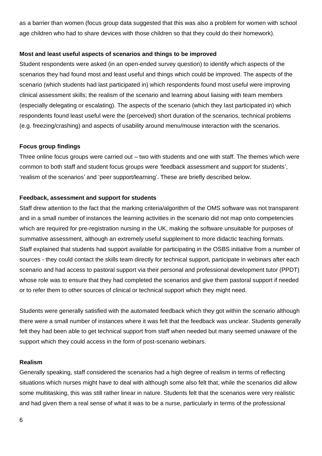as a barrier than women (focus group data suggested that this was also a problem for women with school age children who had to share devices with those children so that they could do their homework).

#### **Most and least useful aspects of scenarios and things to be improved**

Student respondents were asked (in an open-ended survey question) to identify which aspects of the scenarios they had found most and least useful and things which could be improved. The aspects of the scenario (which students had last participated in) which respondents found most useful were improving clinical assessment skills; the realism of the scenario and learning about liaising with team members (especially delegating or escalating). The aspects of the scenario (which they last participated in) which respondents found least useful were the (perceived) short duration of the scenarios, technical problems (e.g. freezing/crashing) and aspects of usability around menu/mouse interaction with the scenarios.

#### **Focus group findings**

Three online focus groups were carried out – two with students and one with staff. The themes which were common to both staff and student focus groups were 'feedback assessment and support for students', 'realism of the scenarios' and 'peer support/learning'. These are briefly described below.

#### **Feedback, assessment and support for students**

Staff drew attention to the fact that the marking criteria/algorithm of the OMS software was not transparent and in a small number of instances the learning activities in the scenario did not map onto competencies which are required for pre-registration nursing in the UK, making the software unsuitable for purposes of summative assessment, although an extremely useful supplement to more didactic teaching formats. Staff explained that students had support available for participating in the OSBS initiative from a number of sources - they could contact the skills team directly for technical support, participate in webinars after each scenario and had access to pastoral support via their personal and professional development tutor (PPDT) whose role was to ensure that they had completed the scenarios and give them pastoral support if needed or to refer them to other sources of clinical or technical support which they might need.

Students were generally satisfied with the automated feedback which they got within the scenario although there were a small number of instances where it was felt that the feedback was unclear. Students generally felt they had been able to get technical support from staff when needed but many seemed unaware of the support which they could access in the form of post-scenario webinars.

#### **Realism**

Generally speaking, staff considered the scenarios had a high degree of realism in terms of reflecting situations which nurses might have to deal with although some also felt that, while the scenarios did allow some multitasking, this was still rather linear in nature. Students felt that the scenarios were very realistic and had given them a real sense of what it was to be a nurse, particularly in terms of the professional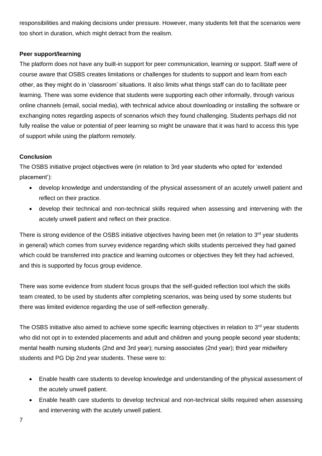responsibilities and making decisions under pressure. However, many students felt that the scenarios were too short in duration, which might detract from the realism.

#### **Peer support/learning**

The platform does not have any built-in support for peer communication, learning or support. Staff were of course aware that OSBS creates limitations or challenges for students to support and learn from each other, as they might do in 'classroom' situations. It also limits what things staff can do to facilitate peer learning. There was some evidence that students were supporting each other informally, through various online channels (email, social media), with technical advice about downloading or installing the software or exchanging notes regarding aspects of scenarios which they found challenging. Students perhaps did not fully realise the value or potential of peer learning so might be unaware that it was hard to access this type of support while using the platform remotely.

#### **Conclusion**

The OSBS initiative project objectives were (in relation to 3rd year students who opted for 'extended placement'):

- develop knowledge and understanding of the physical assessment of an acutely unwell patient and reflect on their practice.
- develop their technical and non-technical skills required when assessing and intervening with the acutely unwell patient and reflect on their practice.

There is strong evidence of the OSBS initiative objectives having been met (in relation to 3<sup>rd</sup> year students in general) which comes from survey evidence regarding which skills students perceived they had gained which could be transferred into practice and learning outcomes or objectives they felt they had achieved, and this is supported by focus group evidence.

There was some evidence from student focus groups that the self-guided reflection tool which the skills team created, to be used by students after completing scenarios, was being used by some students but there was limited evidence regarding the use of self-reflection generally.

The OSBS initiative also aimed to achieve some specific learning objectives in relation to  $3<sup>rd</sup>$  year students who did not opt in to extended placements and adult and children and young people second year students; mental health nursing students (2nd and 3rd year); nursing associates (2nd year); third year midwifery students and PG Dip 2nd year students. These were to:

- Enable health care students to develop knowledge and understanding of the physical assessment of the acutely unwell patient.
- Enable health care students to develop technical and non-technical skills required when assessing and intervening with the acutely unwell patient.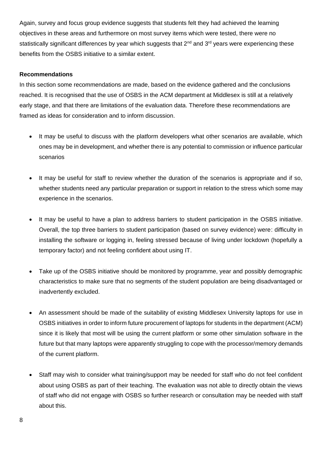Again, survey and focus group evidence suggests that students felt they had achieved the learning objectives in these areas and furthermore on most survey items which were tested, there were no statistically significant differences by year which suggests that 2<sup>nd</sup> and 3<sup>rd</sup> years were experiencing these benefits from the OSBS initiative to a similar extent.

#### **Recommendations**

In this section some recommendations are made, based on the evidence gathered and the conclusions reached. It is recognised that the use of OSBS in the ACM department at Middlesex is still at a relatively early stage, and that there are limitations of the evaluation data. Therefore these recommendations are framed as ideas for consideration and to inform discussion.

- It may be useful to discuss with the platform developers what other scenarios are available, which ones may be in development, and whether there is any potential to commission or influence particular scenarios
- It may be useful for staff to review whether the duration of the scenarios is appropriate and if so, whether students need any particular preparation or support in relation to the stress which some may experience in the scenarios.
- It may be useful to have a plan to address barriers to student participation in the OSBS initiative. Overall, the top three barriers to student participation (based on survey evidence) were: difficulty in installing the software or logging in, feeling stressed because of living under lockdown (hopefully a temporary factor) and not feeling confident about using IT.
- Take up of the OSBS initiative should be monitored by programme, year and possibly demographic characteristics to make sure that no segments of the student population are being disadvantaged or inadvertently excluded.
- An assessment should be made of the suitability of existing Middlesex University laptops for use in OSBS initiatives in order to inform future procurement of laptops for students in the department (ACM) since it is likely that most will be using the current platform or some other simulation software in the future but that many laptops were apparently struggling to cope with the processor/memory demands of the current platform.
- Staff may wish to consider what training/support may be needed for staff who do not feel confident about using OSBS as part of their teaching. The evaluation was not able to directly obtain the views of staff who did not engage with OSBS so further research or consultation may be needed with staff about this.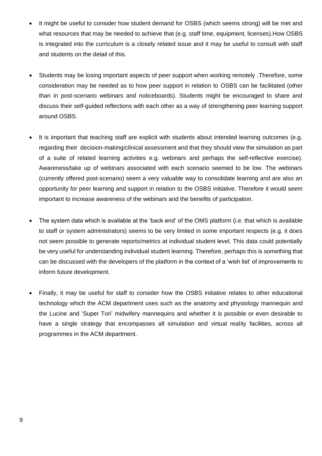- It might be useful to consider how student demand for OSBS (which seems strong) will be met and what resources that may be needed to achieve that (e.g. staff time, equipment, licenses).How OSBS is integrated into the curriculum is a closely related issue and it may be useful to consult with staff and students on the detail of this.
- Students may be losing important aspects of peer support when working remotely .Therefore, some consideration may be needed as to how peer support in relation to OSBS can be facilitated (other than in post-scenario webinars and noticeboards). Students might be encouraged to share and discuss their self-guided reflections with each other as a way of strengthening peer learning support around OSBS.
- It is important that teaching staff are explicit with students about intended learning outcomes (e.g. regarding their decision-making/clinical assessment and that they should view the simulation as part of a suite of related learning activities e.g. webinars and perhaps the self-reflective exercise). Awareness/take up of webinars associated with each scenario seemed to be low. The webinars (currently offered post-scenario) seem a very valuable way to consolidate learning and are also an opportunity for peer learning and support in relation to the OSBS initiative. Therefore it would seem important to increase awareness of the webinars and the benefits of participation.
- The system data which is available at the 'back end' of the OMS platform (i.e. that which is available to staff or system administrators) seems to be very limited in some important respects (e.g. it does not seem possible to generate reports/metrics at individual student level. This data could potentially be very useful for understanding individual student learning. Therefore, perhaps this is something that can be discussed with the developers of the platform in the context of a 'wish list' of improvements to inform future development.
- Finally, it may be useful for staff to consider how the OSBS initiative relates to other educational technology which the ACM department uses such as the anatomy and physiology mannequin and the Lucine and 'Super Tori' midwifery mannequins and whether it is possible or even desirable to have a single strategy that encompasses all simulation and virtual reality facilities, across all programmes in the ACM department.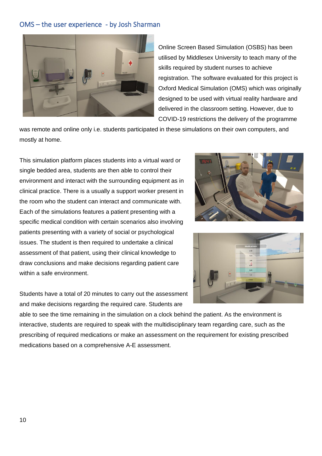#### OMS – the user experience - by Josh Sharman



Online Screen Based Simulation (OSBS) has been utilised by Middlesex University to teach many of the skills required by student nurses to achieve registration. The software evaluated for this project is Oxford Medical Simulation (OMS) which was originally designed to be used with virtual reality hardware and delivered in the classroom setting. However, due to COVID-19 restrictions the delivery of the programme

was remote and online only i.e. students participated in these simulations on their own computers, and mostly at home.

This simulation platform places students into a virtual ward or single bedded area, students are then able to control their environment and interact with the surrounding equipment as in clinical practice. There is a usually a support worker present in the room who the student can interact and communicate with. Each of the simulations features a patient presenting with a specific medical condition with certain scenarios also involving patients presenting with a variety of social or psychological issues. The student is then required to undertake a clinical assessment of that patient, using their clinical knowledge to draw conclusions and make decisions regarding patient care within a safe environment.

Students have a total of 20 minutes to carry out the assessment and make decisions regarding the required care. Students are





able to see the time remaining in the simulation on a clock behind the patient. As the environment is interactive, students are required to speak with the multidisciplinary team regarding care, such as the prescribing of required medications or make an assessment on the requirement for existing prescribed medications based on a comprehensive A-E assessment.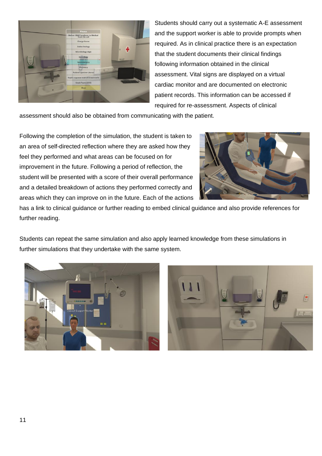

Students should carry out a systematic A-E assessment and the support worker is able to provide prompts when required. As in clinical practice there is an expectation that the student documents their clinical findings following information obtained in the clinical assessment. Vital signs are displayed on a virtual cardiac monitor and are documented on electronic patient records. This information can be accessed if required for re-assessment. Aspects of clinical

assessment should also be obtained from communicating with the patient.

Following the completion of the simulation, the student is taken to an area of self-directed reflection where they are asked how they feel they performed and what areas can be focused on for improvement in the future. Following a period of reflection, the student will be presented with a score of their overall performance and a detailed breakdown of actions they performed correctly and areas which they can improve on in the future. Each of the actions



has a link to clinical guidance or further reading to embed clinical guidance and also provide references for further reading.

Students can repeat the same simulation and also apply learned knowledge from these simulations in further simulations that they undertake with the same system.